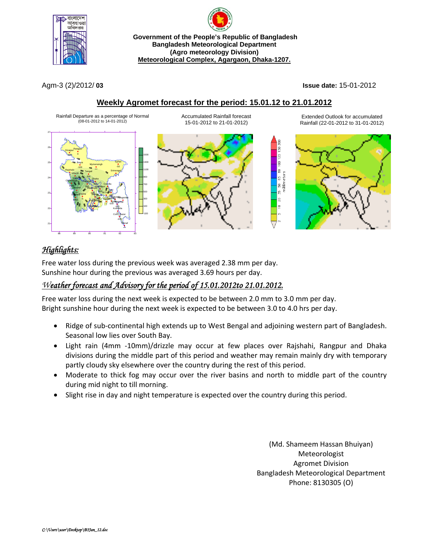



Agm-3 (2)/2012/ **03 Issue date:** 15-01-2012

## **Weekly Agromet forecast for the period: 15.01.12 to 21.01.2012**



# *Highlights:*

Free water loss during the previous week was averaged 2.38 mm per day. Sunshine hour during the previous was averaged 3.69 hours per day.

# *Weather forecast and Advisory for the period of 15.01.2012to 21.01.2012.*

Free water loss during the next week is expected to be between 2.0 mm to 3.0 mm per day. Bright sunshine hour during the next week is expected to be between 3.0 to 4.0 hrs per day.

- Ridge of sub-continental high extends up to West Bengal and adjoining western part of Bangladesh. Seasonal low lies over South Bay.
- Light rain (4mm -10mm)/drizzle may occur at few places over Rajshahi, Rangpur and Dhaka divisions during the middle part of this period and weather may remain mainly dry with temporary partly cloudy sky elsewhere over the country during the rest of this period.
- Moderate to thick fog may occur over the river basins and north to middle part of the country during mid night to till morning.
- Slight rise in day and night temperature is expected over the country during this period.

(Md. Shameem Hassan Bhuiyan) Meteorologist Agromet Division Bangladesh Meteorological Department Phone: 8130305 (O)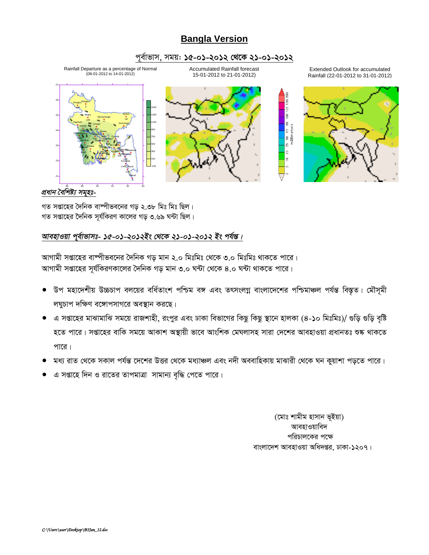# **Bangla Version**

## পূর্বাভাস, সময়: ১৫-০১-২০১২ থেকে ২১-০১-২০১২



### প্ৰধান বৈশিষ্ট্য সমূহঃ-

গত সপ্তাহের দৈনিক বাষ্পীভবনের গড় ২.৩৮ মিঃ মিঃ ছিল। গত সপ্তাহের দৈনিক সূর্যকিরণ কালের গড় ৩.৬৯ ঘন্টা ছিল।

## আবহাওয়া পূর্বাভাসঃ- ১৫-০১-২০১২ইং থেকে ২১-০১-২০১২ ইং পর্যন্ত।

আগামী সপ্তাহের বাষ্পীভবনের দৈনিক গড় মান ২.০ মিঃমিঃ থেকে ৩.০ মিঃমিঃ থাকতে পারে। আগামী সপ্তাহের সূর্যকিরণকালের দৈনিক গড় মান ৩.০ ঘন্টা থেকে ৪.০ ঘন্টা থাকতে পারে।

- উপ মহাদেশীয় উচ্চচাপ বলয়ের বর্ধিতাংশ পশ্চিম বঙ্গ এবং তৎসংলগ্ন বাংলাদেশের পশ্চিমাঞ্চল পর্যন্ত বিস্তৃত। মৌসূমী লঘুচাপ দক্ষিণ বঙ্গোপসাগরে অবস্থান করছে।
- এ সপ্তাহের মাঝামাঝি সময়ে রাজশাহী, রংপুর এবং ঢাকা বিভাগের কিছু কিছু স্থানে হালকা (৪-১০ মিঃমিঃ)/ গুড়ি গুড়ি বৃষ্টি হতে পারে। সপ্তাহের বাকি সময়ে আকাশ অস্থায়ী ভাবে আংশিক মেঘলাসহ সারা দেশের আবহাওয়া প্রধানতঃ শুষ্ক থাকতে পারে।
- মধ্য রাত থেকে সকাল পর্যন্ত দেশের উত্তর থেকে মধ্যাঞ্চল এবং নদী অববাহিকায় মাঝারী থেকে ঘন কুয়াশা পড়তে পারে।
- এ সপ্তাহে দিন ও রাতের তাপমাত্রা সামান্য বৃদ্ধি পেতে পারে।

(মোঃ শামীম হাসান ভূইয়া) আবহাওয়াবিদ পরিচালকের পক্ষে বাংলাদেশ আবহাওয়া অধিদপ্তর, ঢাকা-১২০৭।